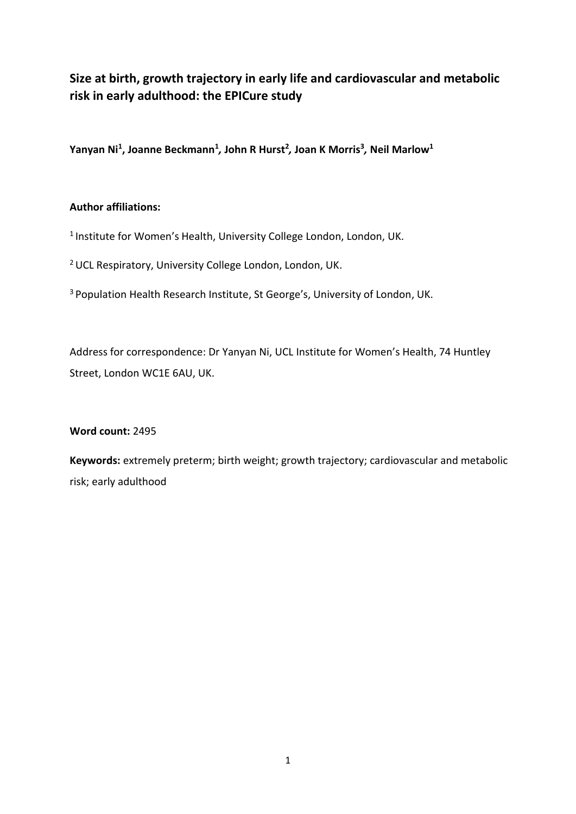# **Size at birth, growth trajectory in early life and cardiovascular and metabolic risk in early adulthood: the EPICure study**

**Yanyan Ni<sup>1</sup> , Joanne Beckmann<sup>1</sup>** *,* **John R Hurst<sup>2</sup>** *,* **Joan K Morris<sup>3</sup>** *,* **Neil Marlow<sup>1</sup>**

# **Author affiliations:**

<sup>1</sup> Institute for Women's Health, University College London, London, UK.

<sup>2</sup> UCL Respiratory, University College London, London, UK.

<sup>3</sup> Population Health Research Institute, St George's, University of London, UK.

Address for correspondence: Dr Yanyan Ni, UCL Institute for Women's Health, 74 Huntley Street, London WC1E 6AU, UK.

**Word count:** 2495

**Keywords:** extremely preterm; birth weight; growth trajectory; cardiovascular and metabolic risk; early adulthood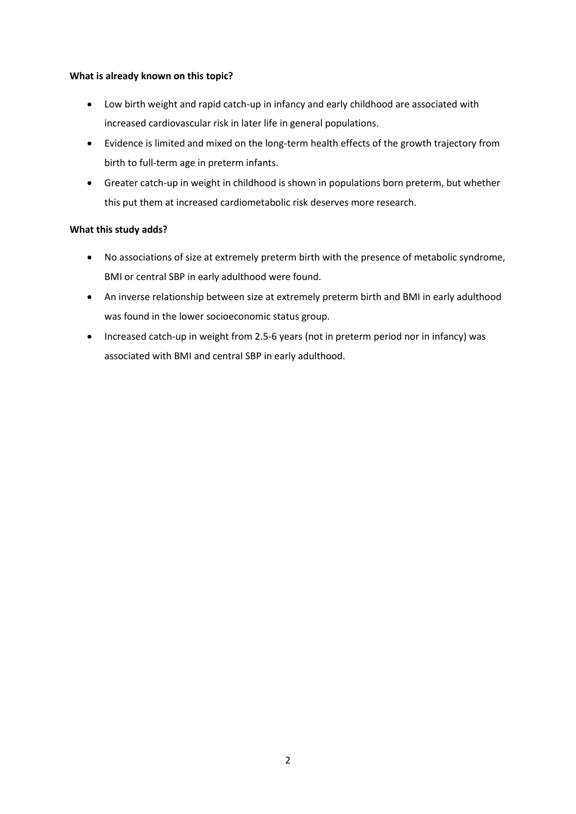## **What is already known on this topic?**

- Low birth weight and rapid catch-up in infancy and early childhood are associated with increased cardiovascular risk in later life in general populations.
- Evidence is limited and mixed on the long-term health effects of the growth trajectory from birth to full-term age in preterm infants.
- Greater catch-up in weight in childhood is shown in populations born preterm, but whether this put them at increased cardiometabolic risk deserves more research.

# **What this study adds?**

- No associations of size at extremely preterm birth with the presence of metabolic syndrome, BMI or central SBP in early adulthood were found.
- An inverse relationship between size at extremely preterm birth and BMI in early adulthood was found in the lower socioeconomic status group.
- Increased catch-up in weight from 2.5-6 years (not in preterm period nor in infancy) was associated with BMI and central SBP in early adulthood.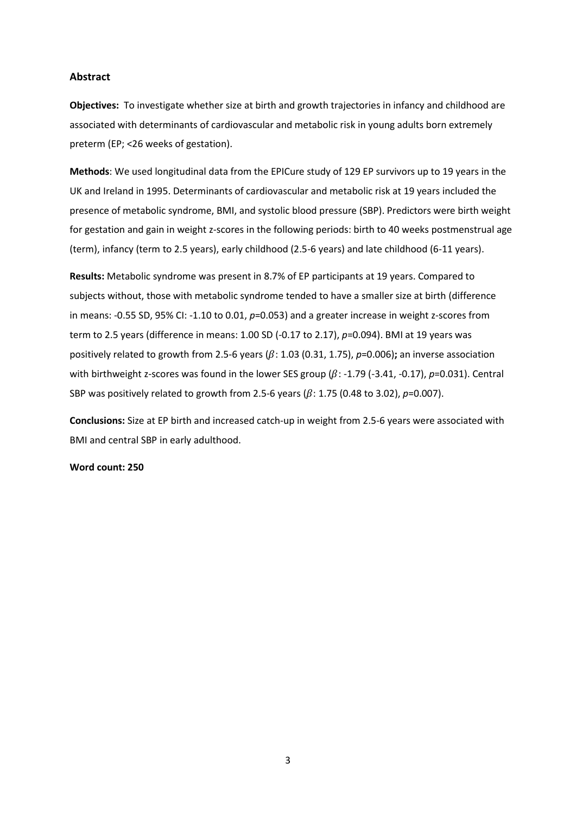## **Abstract**

**Objectives:** To investigate whether size at birth and growth trajectories in infancy and childhood are associated with determinants of cardiovascular and metabolic risk in young adults born extremely preterm (EP; <26 weeks of gestation).

**Methods**: We used longitudinal data from the EPICure study of 129 EP survivors up to 19 years in the UK and Ireland in 1995. Determinants of cardiovascular and metabolic risk at 19 years included the presence of metabolic syndrome, BMI, and systolic blood pressure (SBP). Predictors were birth weight for gestation and gain in weight z-scores in the following periods: birth to 40 weeks postmenstrual age (term), infancy (term to 2.5 years), early childhood (2.5-6 years) and late childhood (6-11 years).

**Results:** Metabolic syndrome was present in 8.7% of EP participants at 19 years. Compared to subjects without, those with metabolic syndrome tended to have a smaller size at birth (difference in means: -0.55 SD, 95% CI: -1.10 to 0.01, *p*=0.053) and a greater increase in weight z-scores from term to 2.5 years (difference in means: 1.00 SD (-0.17 to 2.17), *p*=0.094). BMI at 19 years was positively related to growth from 2.5-6 years ( $\beta$ : 1.03 (0.31, 1.75),  $p$ =0.006); an inverse association with birthweight z-scores was found in the lower SES group  $(\beta$ : -1.79 (-3.41, -0.17),  $p=0.031$ ). Central SBP was positively related to growth from 2.5-6 years ( $\beta$ : 1.75 (0.48 to 3.02),  $p=0.007$ ).

**Conclusions:** Size at EP birth and increased catch-up in weight from 2.5-6 years were associated with BMI and central SBP in early adulthood.

#### **Word count: 250**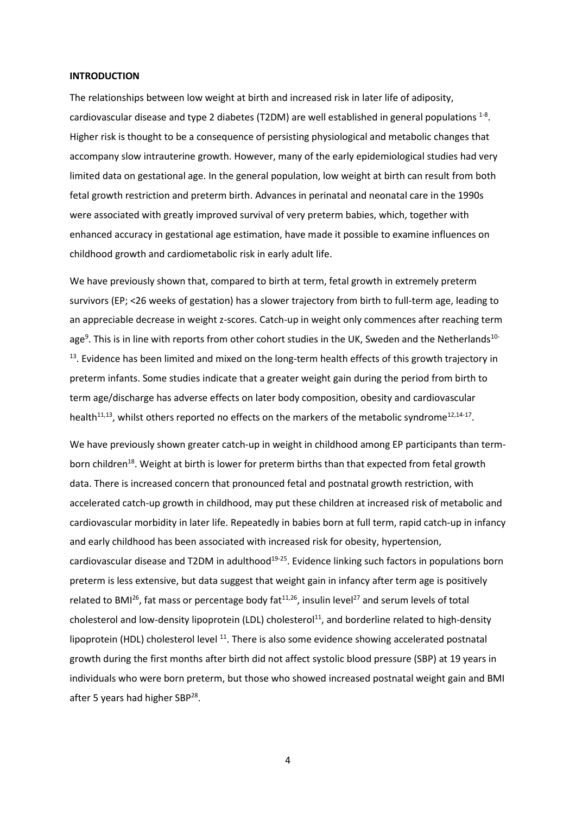#### **INTRODUCTION**

The relationships between low weight at birth and increased risk in later life of adiposity, cardiovascular disease and type 2 diabetes (T2DM) are well established in general populations  $^{1-8}$ . Higher risk is thought to be a consequence of persisting physiological and metabolic changes that accompany slow intrauterine growth. However, many of the early epidemiological studies had very limited data on gestational age. In the general population, low weight at birth can result from both fetal growth restriction and preterm birth. Advances in perinatal and neonatal care in the 1990s were associated with greatly improved survival of very preterm babies, which, together with enhanced accuracy in gestational age estimation, have made it possible to examine influences on childhood growth and cardiometabolic risk in early adult life.

We have previously shown that, compared to birth at term, fetal growth in extremely preterm survivors (EP; <26 weeks of gestation) has a slower trajectory from birth to full-term age, leading to an appreciable decrease in weight z-scores. Catch-up in weight only commences after reaching term age<sup>9</sup>. This is in line with reports from other cohort studies in the UK, Sweden and the Netherlands<sup>10-</sup> <sup>13</sup>. Evidence has been limited and mixed on the long-term health effects of this growth trajectory in preterm infants. Some studies indicate that a greater weight gain during the period from birth to term age/discharge has adverse effects on later body composition, obesity and cardiovascular health<sup>11,13</sup>, whilst others reported no effects on the markers of the metabolic syndrome<sup>12,14-17</sup>.

We have previously shown greater catch-up in weight in childhood among EP participants than termborn children<sup>18</sup>. Weight at birth is lower for preterm births than that expected from fetal growth data. There is increased concern that pronounced fetal and postnatal growth restriction, with accelerated catch-up growth in childhood, may put these children at increased risk of metabolic and cardiovascular morbidity in later life. Repeatedly in babies born at full term, rapid catch-up in infancy and early childhood has been associated with increased risk for obesity, hypertension, cardiovascular disease and T2DM in adulthood<sup>19-25</sup>. Evidence linking such factors in populations born preterm is less extensive, but data suggest that weight gain in infancy after term age is positively related to BMI<sup>26</sup>, fat mass or percentage body fat<sup>11,26</sup>, insulin level<sup>27</sup> and serum levels of total cholesterol and low-density lipoprotein (LDL) cholesterol<sup>11</sup>, and borderline related to high-density lipoprotein (HDL) cholesterol level <sup>11</sup>. There is also some evidence showing accelerated postnatal growth during the first months after birth did not affect systolic blood pressure (SBP) at 19 years in individuals who were born preterm, but those who showed increased postnatal weight gain and BMI after 5 years had higher SBP<sup>28</sup>.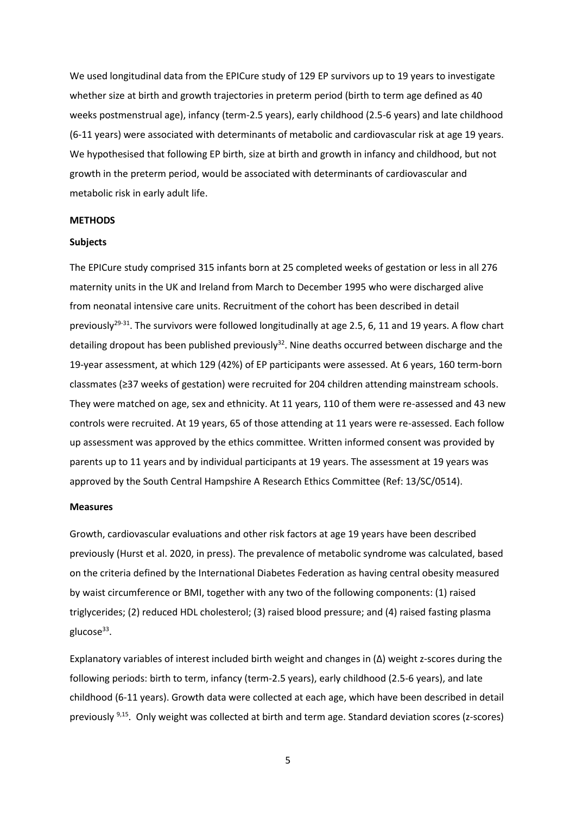We used longitudinal data from the EPICure study of 129 EP survivors up to 19 years to investigate whether size at birth and growth trajectories in preterm period (birth to term age defined as 40 weeks postmenstrual age), infancy (term-2.5 years), early childhood (2.5-6 years) and late childhood (6-11 years) were associated with determinants of metabolic and cardiovascular risk at age 19 years. We hypothesised that following EP birth, size at birth and growth in infancy and childhood, but not growth in the preterm period, would be associated with determinants of cardiovascular and metabolic risk in early adult life.

#### **METHODS**

#### **Subjects**

The EPICure study comprised 315 infants born at 25 completed weeks of gestation or less in all 276 maternity units in the UK and Ireland from March to December 1995 who were discharged alive from neonatal intensive care units. Recruitment of the cohort has been described in detail previously<sup>29-31</sup>. The survivors were followed longitudinally at age 2.5, 6, 11 and 19 years. A flow chart detailing dropout has been published previously<sup>32</sup>. Nine deaths occurred between discharge and the 19-year assessment, at which 129 (42%) of EP participants were assessed. At 6 years, 160 term-born classmates (≥37 weeks of gestation) were recruited for 204 children attending mainstream schools. They were matched on age, sex and ethnicity. At 11 years, 110 of them were re-assessed and 43 new controls were recruited. At 19 years, 65 of those attending at 11 years were re-assessed. Each follow up assessment was approved by the ethics committee. Written informed consent was provided by parents up to 11 years and by individual participants at 19 years. The assessment at 19 years was approved by the South Central Hampshire A Research Ethics Committee (Ref: 13/SC/0514).

#### **Measures**

Growth, cardiovascular evaluations and other risk factors at age 19 years have been described previously (Hurst et al. 2020, in press). The prevalence of metabolic syndrome was calculated, based on the criteria defined by the International Diabetes Federation as having central obesity measured by waist circumference or BMI, together with any two of the following components: (1) raised triglycerides; (2) reduced HDL cholesterol; (3) raised blood pressure; and (4) raised fasting plasma glucose<sup>33</sup>.

Explanatory variables of interest included birth weight and changes in (∆) weight z-scores during the following periods: birth to term, infancy (term-2.5 years), early childhood (2.5-6 years), and late childhood (6-11 years). Growth data were collected at each age, which have been described in detail previously <sup>9,15</sup>. Only weight was collected at birth and term age. Standard deviation scores (z-scores)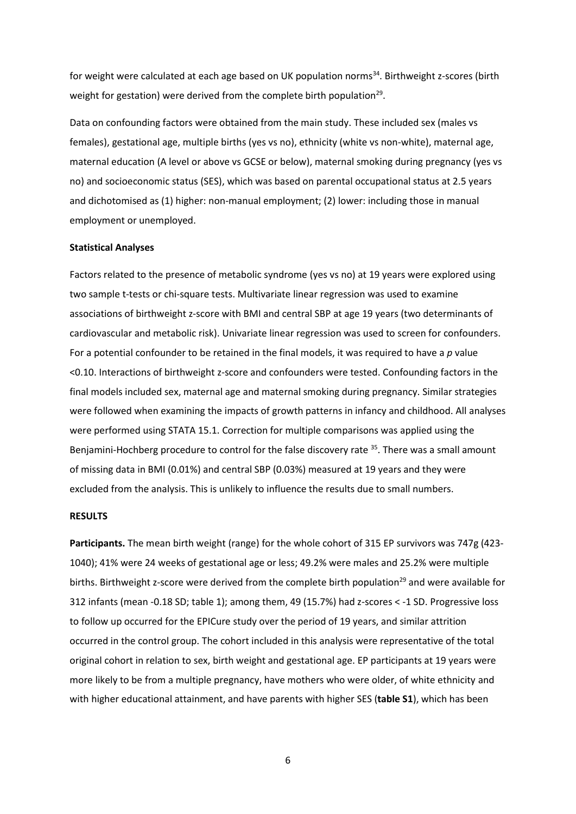for weight were calculated at each age based on UK population norms<sup>34</sup>. Birthweight z-scores (birth weight for gestation) were derived from the complete birth population<sup>29</sup>.

Data on confounding factors were obtained from the main study. These included sex (males vs females), gestational age, multiple births (yes vs no), ethnicity (white vs non-white), maternal age, maternal education (A level or above vs GCSE or below), maternal smoking during pregnancy (yes vs no) and socioeconomic status (SES), which was based on parental occupational status at 2.5 years and dichotomised as (1) higher: non-manual employment; (2) lower: including those in manual employment or unemployed.

#### **Statistical Analyses**

Factors related to the presence of metabolic syndrome (yes vs no) at 19 years were explored using two sample t-tests or chi-square tests. Multivariate linear regression was used to examine associations of birthweight z-score with BMI and central SBP at age 19 years (two determinants of cardiovascular and metabolic risk). Univariate linear regression was used to screen for confounders. For a potential confounder to be retained in the final models, it was required to have a *p* value <0.10. Interactions of birthweight z-score and confounders were tested. Confounding factors in the final models included sex, maternal age and maternal smoking during pregnancy. Similar strategies were followed when examining the impacts of growth patterns in infancy and childhood. All analyses were performed using STATA 15.1. Correction for multiple comparisons was applied using the Benjamini-Hochberg procedure to control for the false discovery rate <sup>35</sup>. There was a small amount of missing data in BMI (0.01%) and central SBP (0.03%) measured at 19 years and they were excluded from the analysis. This is unlikely to influence the results due to small numbers.

#### **RESULTS**

**Participants.** The mean birth weight (range) for the whole cohort of 315 EP survivors was 747g (423- 1040); 41% were 24 weeks of gestational age or less; 49.2% were males and 25.2% were multiple births. Birthweight z-score were derived from the complete birth population<sup>29</sup> and were available for 312 infants (mean -0.18 SD; table 1); among them, 49 (15.7%) had z-scores < -1 SD. Progressive loss to follow up occurred for the EPICure study over the period of 19 years, and similar attrition occurred in the control group. The cohort included in this analysis were representative of the total original cohort in relation to sex, birth weight and gestational age. EP participants at 19 years were more likely to be from a multiple pregnancy, have mothers who were older, of white ethnicity and with higher educational attainment, and have parents with higher SES (**table S1**), which has been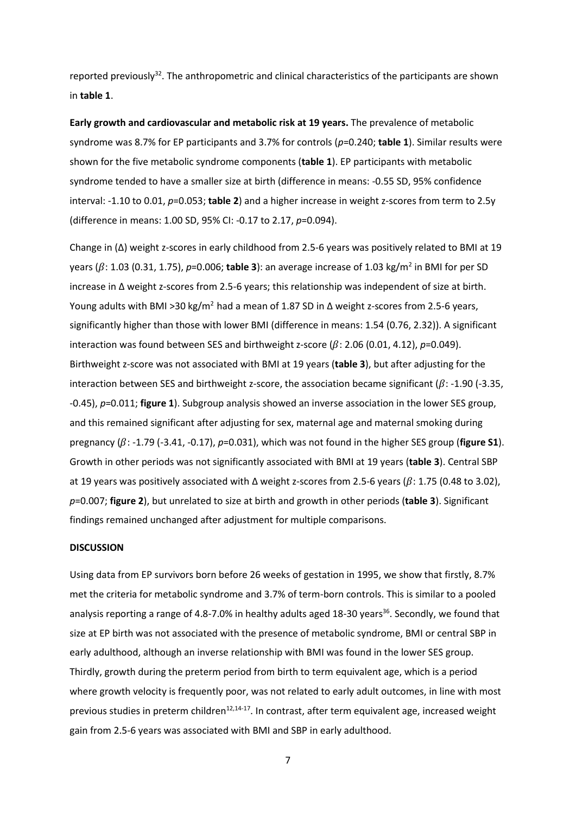reported previously<sup>32</sup>. The anthropometric and clinical characteristics of the participants are shown in **table 1**.

**Early growth and cardiovascular and metabolic risk at 19 years.** The prevalence of metabolic syndrome was 8.7% for EP participants and 3.7% for controls (*p*=0.240; **table 1**). Similar results were shown for the five metabolic syndrome components (**table 1**). EP participants with metabolic syndrome tended to have a smaller size at birth (difference in means: -0.55 SD, 95% confidence interval: -1.10 to 0.01, *p*=0.053; **table 2**) and a higher increase in weight z-scores from term to 2.5y (difference in means: 1.00 SD, 95% CI: -0.17 to 2.17, *p*=0.094).

Change in (∆) weight z-scores in early childhood from 2.5-6 years was positively related to BMI at 19 years (β: 1.03 (0.31, 1.75), p=0.006; **table 3**): an average increase of 1.03 kg/m<sup>2</sup> in BMI for per SD increase in ∆ weight z-scores from 2.5-6 years; this relationship was independent of size at birth. Young adults with BMI >30 kg/m<sup>2</sup> had a mean of 1.87 SD in  $\Delta$  weight z-scores from 2.5-6 years, significantly higher than those with lower BMI (difference in means: 1.54 (0.76, 2.32)). A significant interaction was found between SES and birthweight z-score  $(\beta: 2.06 (0.01, 4.12), p=0.049)$ . Birthweight z-score was not associated with BMI at 19 years (**table 3**), but after adjusting for the interaction between SES and birthweight z-score, the association became significant ( $\beta$ : -1.90 (-3.35, -0.45), *p*=0.011; **figure 1**). Subgroup analysis showed an inverse association in the lower SES group, and this remained significant after adjusting for sex, maternal age and maternal smoking during pregnancy  $(\beta: -1.79 \ (-3.41, -0.17), p=0.031)$ , which was not found in the higher SES group (**figure S1**). Growth in other periods was not significantly associated with BMI at 19 years (**table 3**). Central SBP at 19 years was positively associated with ∆ weight z-scores from 2.5-6 years ( $\beta$ : 1.75 (0.48 to 3.02), *p*=0.007; **figure 2**), but unrelated to size at birth and growth in other periods (**table 3**). Significant findings remained unchanged after adjustment for multiple comparisons.

#### **DISCUSSION**

Using data from EP survivors born before 26 weeks of gestation in 1995, we show that firstly, 8.7% met the criteria for metabolic syndrome and 3.7% of term-born controls. This is similar to a pooled analysis reporting a range of 4.8-7.0% in healthy adults aged 18-30 years<sup>36</sup>. Secondly, we found that size at EP birth was not associated with the presence of metabolic syndrome, BMI or central SBP in early adulthood, although an inverse relationship with BMI was found in the lower SES group. Thirdly, growth during the preterm period from birth to term equivalent age, which is a period where growth velocity is frequently poor, was not related to early adult outcomes, in line with most previous studies in preterm children<sup>12,14-17</sup>. In contrast, after term equivalent age, increased weight gain from 2.5-6 years was associated with BMI and SBP in early adulthood.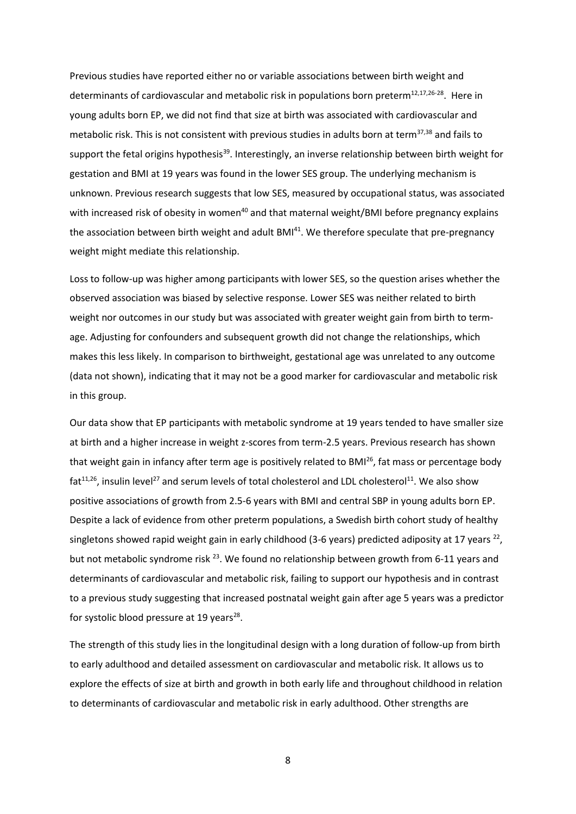Previous studies have reported either no or variable associations between birth weight and determinants of cardiovascular and metabolic risk in populations born preterm $^{12,17,26-28}$ . Here in young adults born EP, we did not find that size at birth was associated with cardiovascular and metabolic risk. This is not consistent with previous studies in adults born at term<sup>37,38</sup> and fails to support the fetal origins hypothesis<sup>39</sup>. Interestingly, an inverse relationship between birth weight for gestation and BMI at 19 years was found in the lower SES group. The underlying mechanism is unknown. Previous research suggests that low SES, measured by occupational status, was associated with increased risk of obesity in women<sup>40</sup> and that maternal weight/BMI before pregnancy explains the association between birth weight and adult BMI<sup>41</sup>. We therefore speculate that pre-pregnancy weight might mediate this relationship.

Loss to follow-up was higher among participants with lower SES, so the question arises whether the observed association was biased by selective response. Lower SES was neither related to birth weight nor outcomes in our study but was associated with greater weight gain from birth to termage. Adjusting for confounders and subsequent growth did not change the relationships, which makes this less likely. In comparison to birthweight, gestational age was unrelated to any outcome (data not shown), indicating that it may not be a good marker for cardiovascular and metabolic risk in this group.

Our data show that EP participants with metabolic syndrome at 19 years tended to have smaller size at birth and a higher increase in weight z-scores from term-2.5 years. Previous research has shown that weight gain in infancy after term age is positively related to BMI<sup>26</sup>, fat mass or percentage body fat<sup>11,26</sup>, insulin level<sup>27</sup> and serum levels of total cholesterol and LDL cholesterol<sup>11</sup>. We also show positive associations of growth from 2.5-6 years with BMI and central SBP in young adults born EP. Despite a lack of evidence from other preterm populations, a Swedish birth cohort study of healthy singletons showed rapid weight gain in early childhood (3-6 years) predicted adiposity at 17 years  $^{22}$ , but not metabolic syndrome risk <sup>23</sup>. We found no relationship between growth from 6-11 years and determinants of cardiovascular and metabolic risk, failing to support our hypothesis and in contrast to a previous study suggesting that increased postnatal weight gain after age 5 years was a predictor for systolic blood pressure at 19 years<sup>28</sup>.

The strength of this study lies in the longitudinal design with a long duration of follow-up from birth to early adulthood and detailed assessment on cardiovascular and metabolic risk. It allows us to explore the effects of size at birth and growth in both early life and throughout childhood in relation to determinants of cardiovascular and metabolic risk in early adulthood. Other strengths are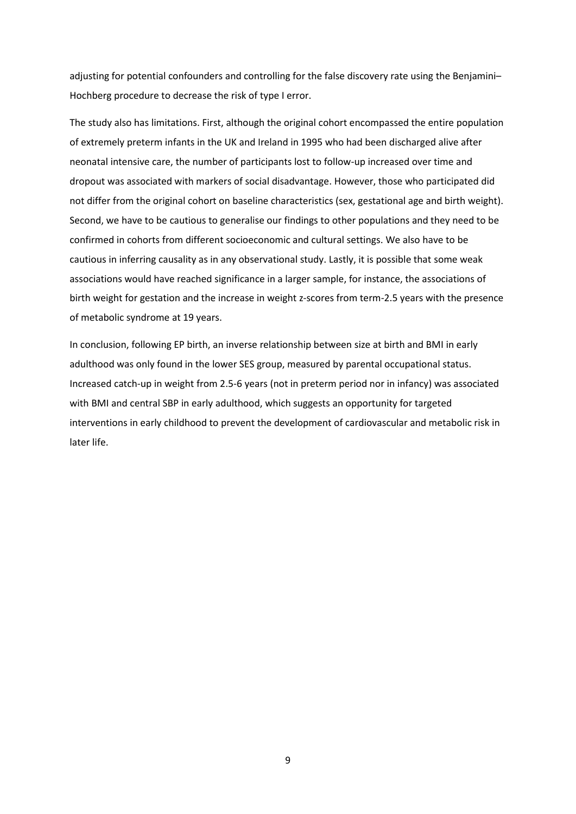adjusting for potential confounders and controlling for the false discovery rate using the Benjamini– Hochberg procedure to decrease the risk of type I error.

The study also has limitations. First, although the original cohort encompassed the entire population of extremely preterm infants in the UK and Ireland in 1995 who had been discharged alive after neonatal intensive care, the number of participants lost to follow-up increased over time and dropout was associated with markers of social disadvantage. However, those who participated did not differ from the original cohort on baseline characteristics (sex, gestational age and birth weight). Second, we have to be cautious to generalise our findings to other populations and they need to be confirmed in cohorts from different socioeconomic and cultural settings. We also have to be cautious in inferring causality as in any observational study. Lastly, it is possible that some weak associations would have reached significance in a larger sample, for instance, the associations of birth weight for gestation and the increase in weight z-scores from term-2.5 years with the presence of metabolic syndrome at 19 years.

In conclusion, following EP birth, an inverse relationship between size at birth and BMI in early adulthood was only found in the lower SES group, measured by parental occupational status. Increased catch-up in weight from 2.5-6 years (not in preterm period nor in infancy) was associated with BMI and central SBP in early adulthood, which suggests an opportunity for targeted interventions in early childhood to prevent the development of cardiovascular and metabolic risk in later life.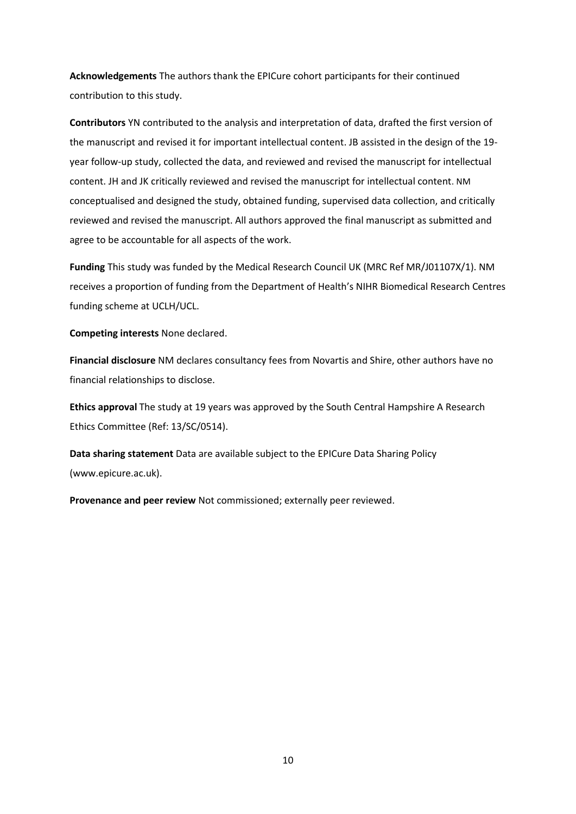**Acknowledgements** The authors thank the EPICure cohort participants for their continued contribution to this study.

**Contributors** YN contributed to the analysis and interpretation of data, drafted the first version of the manuscript and revised it for important intellectual content. JB assisted in the design of the 19 year follow-up study, collected the data, and reviewed and revised the manuscript for intellectual content. JH and JK critically reviewed and revised the manuscript for intellectual content. NM conceptualised and designed the study, obtained funding, supervised data collection, and critically reviewed and revised the manuscript. All authors approved the final manuscript as submitted and agree to be accountable for all aspects of the work.

**Funding** This study was funded by the Medical Research Council UK (MRC Ref MR/J01107X/1). NM receives a proportion of funding from the Department of Health's NIHR Biomedical Research Centres funding scheme at UCLH/UCL.

**Competing interests** None declared.

**Financial disclosure** NM declares consultancy fees from Novartis and Shire, other authors have no financial relationships to disclose.

**Ethics approval** The study at 19 years was approved by the South Central Hampshire A Research Ethics Committee (Ref: 13/SC/0514).

**Data sharing statement** Data are available subject to the EPICure Data Sharing Policy (www.epicure.ac.uk).

**Provenance and peer review** Not commissioned; externally peer reviewed.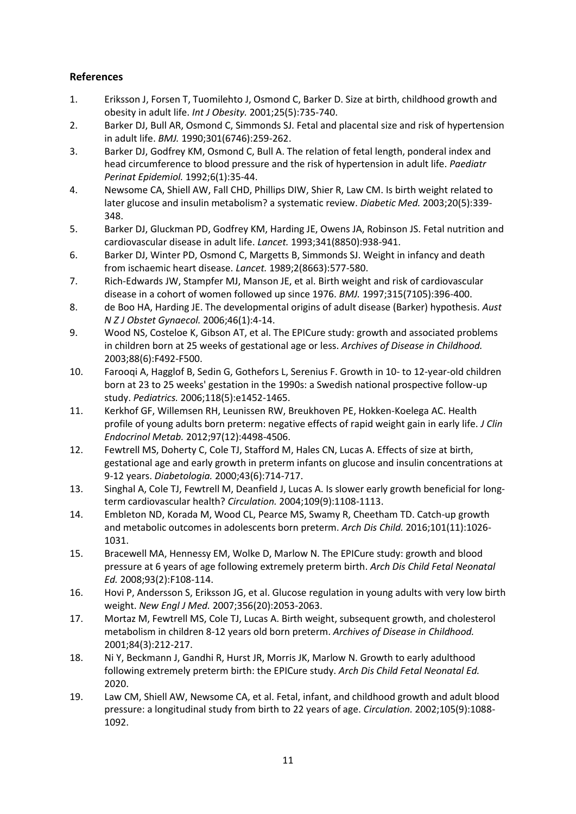# **References**

- 1. Eriksson J, Forsen T, Tuomilehto J, Osmond C, Barker D. Size at birth, childhood growth and obesity in adult life. *Int J Obesity.* 2001;25(5):735-740.
- 2. Barker DJ, Bull AR, Osmond C, Simmonds SJ. Fetal and placental size and risk of hypertension in adult life. *BMJ.* 1990;301(6746):259-262.
- 3. Barker DJ, Godfrey KM, Osmond C, Bull A. The relation of fetal length, ponderal index and head circumference to blood pressure and the risk of hypertension in adult life. *Paediatr Perinat Epidemiol.* 1992;6(1):35-44.
- 4. Newsome CA, Shiell AW, Fall CHD, Phillips DIW, Shier R, Law CM. Is birth weight related to later glucose and insulin metabolism? a systematic review. *Diabetic Med.* 2003;20(5):339- 348.
- 5. Barker DJ, Gluckman PD, Godfrey KM, Harding JE, Owens JA, Robinson JS. Fetal nutrition and cardiovascular disease in adult life. *Lancet.* 1993;341(8850):938-941.
- 6. Barker DJ, Winter PD, Osmond C, Margetts B, Simmonds SJ. Weight in infancy and death from ischaemic heart disease. *Lancet.* 1989;2(8663):577-580.
- 7. Rich-Edwards JW, Stampfer MJ, Manson JE, et al. Birth weight and risk of cardiovascular disease in a cohort of women followed up since 1976. *BMJ.* 1997;315(7105):396-400.
- 8. de Boo HA, Harding JE. The developmental origins of adult disease (Barker) hypothesis. *Aust N Z J Obstet Gynaecol.* 2006;46(1):4-14.
- 9. Wood NS, Costeloe K, Gibson AT, et al. The EPICure study: growth and associated problems in children born at 25 weeks of gestational age or less. *Archives of Disease in Childhood.*  2003;88(6):F492-F500.
- 10. Farooqi A, Hagglof B, Sedin G, Gothefors L, Serenius F. Growth in 10- to 12-year-old children born at 23 to 25 weeks' gestation in the 1990s: a Swedish national prospective follow-up study. *Pediatrics.* 2006;118(5):e1452-1465.
- 11. Kerkhof GF, Willemsen RH, Leunissen RW, Breukhoven PE, Hokken-Koelega AC. Health profile of young adults born preterm: negative effects of rapid weight gain in early life. *J Clin Endocrinol Metab.* 2012;97(12):4498-4506.
- 12. Fewtrell MS, Doherty C, Cole TJ, Stafford M, Hales CN, Lucas A. Effects of size at birth, gestational age and early growth in preterm infants on glucose and insulin concentrations at 9-12 years. *Diabetologia.* 2000;43(6):714-717.
- 13. Singhal A, Cole TJ, Fewtrell M, Deanfield J, Lucas A. Is slower early growth beneficial for longterm cardiovascular health? *Circulation.* 2004;109(9):1108-1113.
- 14. Embleton ND, Korada M, Wood CL, Pearce MS, Swamy R, Cheetham TD. Catch-up growth and metabolic outcomes in adolescents born preterm. *Arch Dis Child.* 2016;101(11):1026- 1031.
- 15. Bracewell MA, Hennessy EM, Wolke D, Marlow N. The EPICure study: growth and blood pressure at 6 years of age following extremely preterm birth. *Arch Dis Child Fetal Neonatal Ed.* 2008;93(2):F108-114.
- 16. Hovi P, Andersson S, Eriksson JG, et al. Glucose regulation in young adults with very low birth weight. *New Engl J Med.* 2007;356(20):2053-2063.
- 17. Mortaz M, Fewtrell MS, Cole TJ, Lucas A. Birth weight, subsequent growth, and cholesterol metabolism in children 8-12 years old born preterm. *Archives of Disease in Childhood.*  2001;84(3):212-217.
- 18. Ni Y, Beckmann J, Gandhi R, Hurst JR, Morris JK, Marlow N. Growth to early adulthood following extremely preterm birth: the EPICure study. *Arch Dis Child Fetal Neonatal Ed.*  2020.
- 19. Law CM, Shiell AW, Newsome CA, et al. Fetal, infant, and childhood growth and adult blood pressure: a longitudinal study from birth to 22 years of age. *Circulation.* 2002;105(9):1088- 1092.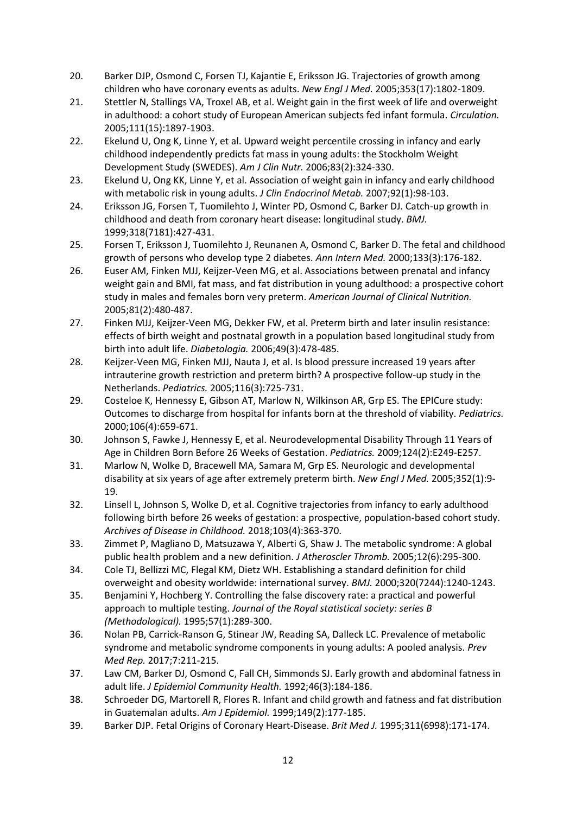- 20. Barker DJP, Osmond C, Forsen TJ, Kajantie E, Eriksson JG. Trajectories of growth among children who have coronary events as adults. *New Engl J Med.* 2005;353(17):1802-1809.
- 21. Stettler N, Stallings VA, Troxel AB, et al. Weight gain in the first week of life and overweight in adulthood: a cohort study of European American subjects fed infant formula. *Circulation.*  2005;111(15):1897-1903.
- 22. Ekelund U, Ong K, Linne Y, et al. Upward weight percentile crossing in infancy and early childhood independently predicts fat mass in young adults: the Stockholm Weight Development Study (SWEDES). *Am J Clin Nutr.* 2006;83(2):324-330.
- 23. Ekelund U, Ong KK, Linne Y, et al. Association of weight gain in infancy and early childhood with metabolic risk in young adults. *J Clin Endocrinol Metab.* 2007;92(1):98-103.
- 24. Eriksson JG, Forsen T, Tuomilehto J, Winter PD, Osmond C, Barker DJ. Catch-up growth in childhood and death from coronary heart disease: longitudinal study. *BMJ.*  1999;318(7181):427-431.
- 25. Forsen T, Eriksson J, Tuomilehto J, Reunanen A, Osmond C, Barker D. The fetal and childhood growth of persons who develop type 2 diabetes. *Ann Intern Med.* 2000;133(3):176-182.
- 26. Euser AM, Finken MJJ, Keijzer-Veen MG, et al. Associations between prenatal and infancy weight gain and BMI, fat mass, and fat distribution in young adulthood: a prospective cohort study in males and females born very preterm. *American Journal of Clinical Nutrition.*  2005;81(2):480-487.
- 27. Finken MJJ, Keijzer-Veen MG, Dekker FW, et al. Preterm birth and later insulin resistance: effects of birth weight and postnatal growth in a population based longitudinal study from birth into adult life. *Diabetologia.* 2006;49(3):478-485.
- 28. Keijzer-Veen MG, Finken MJJ, Nauta J, et al. Is blood pressure increased 19 years after intrauterine growth restriction and preterm birth? A prospective follow-up study in the Netherlands. *Pediatrics.* 2005;116(3):725-731.
- 29. Costeloe K, Hennessy E, Gibson AT, Marlow N, Wilkinson AR, Grp ES. The EPICure study: Outcomes to discharge from hospital for infants born at the threshold of viability. *Pediatrics.*  2000;106(4):659-671.
- 30. Johnson S, Fawke J, Hennessy E, et al. Neurodevelopmental Disability Through 11 Years of Age in Children Born Before 26 Weeks of Gestation. *Pediatrics.* 2009;124(2):E249-E257.
- 31. Marlow N, Wolke D, Bracewell MA, Samara M, Grp ES. Neurologic and developmental disability at six years of age after extremely preterm birth. *New Engl J Med.* 2005;352(1):9- 19.
- 32. Linsell L, Johnson S, Wolke D, et al. Cognitive trajectories from infancy to early adulthood following birth before 26 weeks of gestation: a prospective, population-based cohort study. *Archives of Disease in Childhood.* 2018;103(4):363-370.
- 33. Zimmet P, Magliano D, Matsuzawa Y, Alberti G, Shaw J. The metabolic syndrome: A global public health problem and a new definition. *J Atheroscler Thromb.* 2005;12(6):295-300.
- 34. Cole TJ, Bellizzi MC, Flegal KM, Dietz WH. Establishing a standard definition for child overweight and obesity worldwide: international survey. *BMJ.* 2000;320(7244):1240-1243.
- 35. Benjamini Y, Hochberg Y. Controlling the false discovery rate: a practical and powerful approach to multiple testing. *Journal of the Royal statistical society: series B (Methodological).* 1995;57(1):289-300.
- 36. Nolan PB, Carrick-Ranson G, Stinear JW, Reading SA, Dalleck LC. Prevalence of metabolic syndrome and metabolic syndrome components in young adults: A pooled analysis. *Prev Med Rep.* 2017;7:211-215.
- 37. Law CM, Barker DJ, Osmond C, Fall CH, Simmonds SJ. Early growth and abdominal fatness in adult life. *J Epidemiol Community Health.* 1992;46(3):184-186.
- 38. Schroeder DG, Martorell R, Flores R. Infant and child growth and fatness and fat distribution in Guatemalan adults. *Am J Epidemiol.* 1999;149(2):177-185.
- 39. Barker DJP. Fetal Origins of Coronary Heart-Disease. *Brit Med J.* 1995;311(6998):171-174.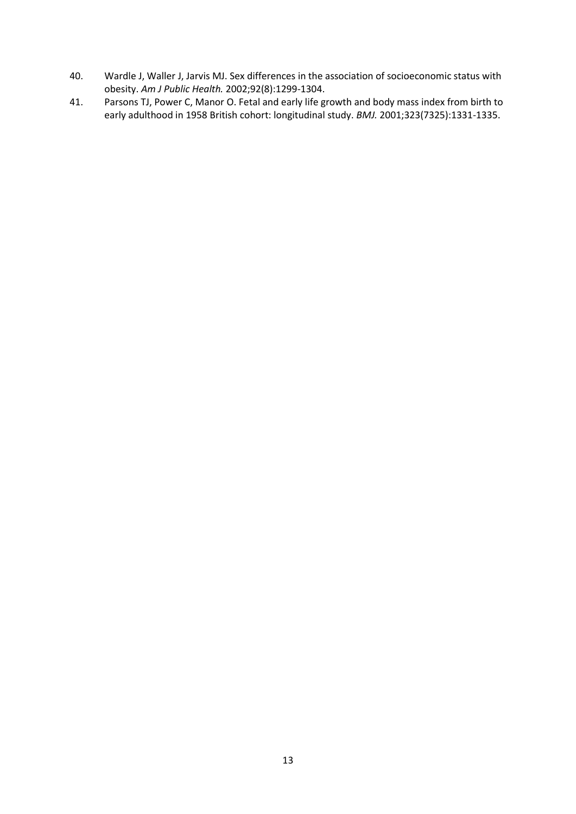- 40. Wardle J, Waller J, Jarvis MJ. Sex differences in the association of socioeconomic status with obesity. *Am J Public Health.* 2002;92(8):1299-1304.
- 41. Parsons TJ, Power C, Manor O. Fetal and early life growth and body mass index from birth to early adulthood in 1958 British cohort: longitudinal study. *BMJ.* 2001;323(7325):1331-1335.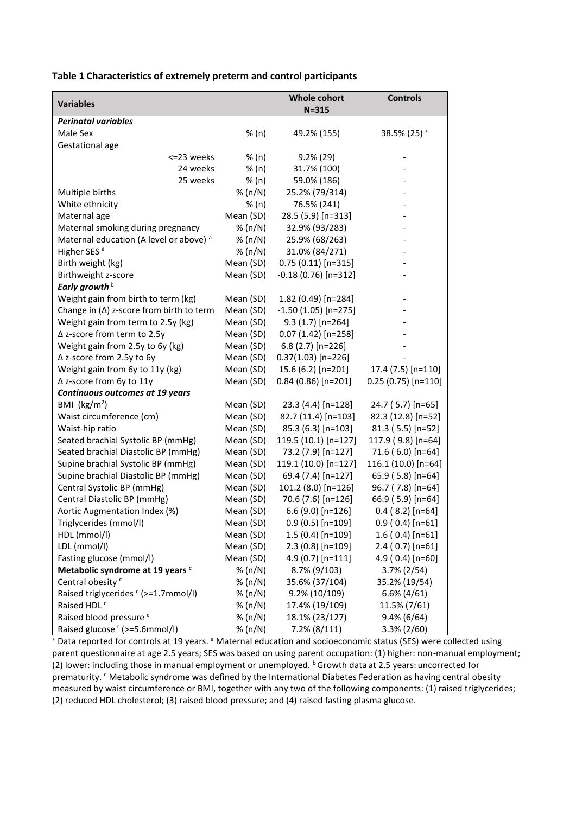**Table 1 Characteristics of extremely preterm and control participants** 

| <b>Variables</b>                                   |           | <b>Whole cohort</b><br>$N = 315$ | <b>Controls</b>        |
|----------------------------------------------------|-----------|----------------------------------|------------------------|
| <b>Perinatal variables</b>                         |           |                                  |                        |
| Male Sex                                           | % (n)     | 49.2% (155)                      | 38.5% (25) $+$         |
| Gestational age                                    |           |                                  |                        |
| <=23 weeks                                         | % (n)     | $9.2\%$ (29)                     |                        |
| 24 weeks                                           | % (n)     | 31.7% (100)                      |                        |
| 25 weeks                                           | % (n)     | 59.0% (186)                      |                        |
| Multiple births                                    | % (n/N)   | 25.2% (79/314)                   |                        |
| White ethnicity                                    | % (n)     | 76.5% (241)                      |                        |
| Maternal age                                       | Mean (SD) | 28.5 (5.9) [n=313]               |                        |
| Maternal smoking during pregnancy                  | % (n/N)   | 32.9% (93/283)                   |                        |
| Maternal education (A level or above) <sup>a</sup> | % (n/N)   | 25.9% (68/263)                   |                        |
| Higher SES <sup>a</sup>                            | % (n/N)   | 31.0% (84/271)                   |                        |
| Birth weight (kg)                                  | Mean (SD) | $0.75(0.11)[n=315]$              |                        |
| Birthweight z-score                                | Mean (SD) | -0.18 (0.76) [n=312]             |                        |
| Early growth <sup>b</sup>                          |           |                                  |                        |
| Weight gain from birth to term (kg)                | Mean (SD) | 1.82 (0.49) [n=284]              |                        |
| Change in $(\Delta)$ z-score from birth to term    | Mean (SD) | $-1.50(1.05)$ [n=275]            |                        |
| Weight gain from term to 2.5y (kg)                 | Mean (SD) | 9.3 (1.7) [n=264]                |                        |
| $\Delta$ z-score from term to 2.5y                 | Mean (SD) | $0.07(1.42)[n=258]$              |                        |
| Weight gain from 2.5y to 6y (kg)                   | Mean (SD) | 6.8 (2.7) [n=226]                |                        |
| ∆ z-score from 2.5y to 6y                          | Mean (SD) | $0.37(1.03)$ [n=226]             |                        |
| Weight gain from 6y to 11y (kg)                    | Mean (SD) | 15.6 (6.2) [n=201]               | 17.4 (7.5) [n=110]     |
| ∆ z-score from 6y to 11y                           | Mean (SD) | $0.84$ (0.86) [n=201]            | $0.25(0.75)[n=110]$    |
| Continuous outcomes at 19 years                    |           |                                  |                        |
| BMI ( $\text{kg/m}^2$ )                            | Mean (SD) | 23.3 (4.4) [n=128]               | 24.7 (5.7) [n=65]      |
| Waist circumference (cm)                           | Mean (SD) | 82.7 (11.4) [n=103]              | 82.3 (12.8) [n=52]     |
| Waist-hip ratio                                    | Mean (SD) | 85.3 (6.3) [n=103]               | 81.3 (5.5) [n=52]      |
| Seated brachial Systolic BP (mmHg)                 | Mean (SD) | 119.5 (10.1) [n=127]             | 117.9 (9.8) [n=64]     |
| Seated brachial Diastolic BP (mmHg)                | Mean (SD) | 73.2 (7.9) [n=127]               | 71.6 (6.0) [n=64]      |
| Supine brachial Systolic BP (mmHg)                 | Mean (SD) | 119.1 (10.0) [n=127]             | 116.1 (10.0) [n=64]    |
| Supine brachial Diastolic BP (mmHg)                | Mean (SD) | 69.4 (7.4) [n=127]               | 65.9 (5.8) [n=64]      |
| Central Systolic BP (mmHg)                         | Mean (SD) | 101.2 (8.0) [n=126]              | 96.7 (7.8) [n=64]      |
| Central Diastolic BP (mmHg)                        | Mean (SD) | 70.6 (7.6) [n=126]               | 66.9 (5.9) [n=64]      |
| Aortic Augmentation Index (%)                      | Mean (SD) | 6.6 (9.0) [n=126]                | $0.4$ (8.2) [n=64]     |
| Triglycerides (mmol/l)                             | Mean (SD) | $0.9(0.5)$ [n=109]               | $0.9$ ( $0.4$ ) [n=61] |
| HDL (mmol/l)                                       | Mean (SD) | $1.5(0.4)[n=109]$                | $1.6(0.4)[n=61]$       |
| LDL (mmol/l)                                       | Mean (SD) | $2.3(0.8)[n=109]$                | $2.4(0.7)$ [n=61]      |
| Fasting glucose (mmol/l)                           | Mean (SD) | $4.9(0.7)$ [n=111]               | 4.9 (0.4) [n=60]       |
| Metabolic syndrome at 19 years <sup>c</sup>        | % (n/N)   | 8.7% (9/103)                     | $3.7\% (2/54)$         |
| Central obesity <sup>c</sup>                       | % (n/N)   | 35.6% (37/104)                   | 35.2% (19/54)          |
| Raised triglycerides <sup>c</sup> (>=1.7mmol/l)    | % (n/N)   | $9.2\% (10/109)$                 | $6.6\%$ (4/61)         |
| Raised HDL <sup>c</sup>                            | % (n/N)   | 17.4% (19/109)                   | 11.5% (7/61)           |
| Raised blood pressure <sup>c</sup>                 | % (n/N)   | 18.1% (23/127)                   | $9.4\% (6/64)$         |
| Raised glucose <sup>c</sup> (>=5.6mmol/l)          | % (n/N)   | $7.2\% (8/111)$                  | $3.3\% (2/60)$         |

+ Data reported for controls at 19 years. <sup>a</sup> Maternal education and socioeconomic status (SES) were collected using parent questionnaire at age 2.5 years; SES was based on using parent occupation: (1) higher: non-manual employment; (2) lower: including those in manual employment or unemployed.  $b$  Growth data at 2.5 years: uncorrected for prematurity. <sup>c</sup> Metabolic syndrome was defined by the International Diabetes Federation as having central obesity measured by waist circumference or BMI, together with any two of the following components: (1) raised triglycerides; (2) reduced HDL cholesterol; (3) raised blood pressure; and (4) raised fasting plasma glucose.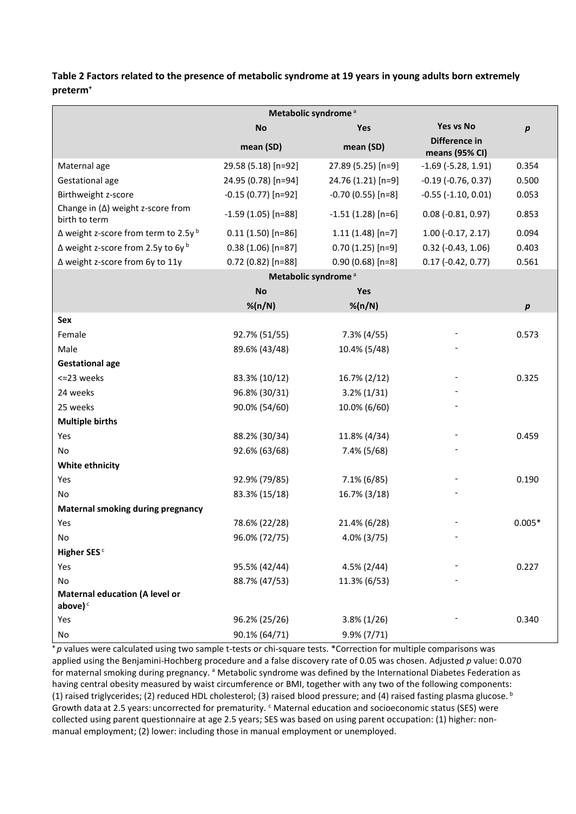**Table 2 Factors related to the presence of metabolic syndrome at 19 years in young adults born extremely preterm<sup>+</sup>**

| Metabolic syndrome <sup>a</sup>                           |                                 |                    |                                 |           |
|-----------------------------------------------------------|---------------------------------|--------------------|---------------------------------|-----------|
|                                                           | <b>No</b>                       | Yes                | Yes vs No                       | $\pmb{p}$ |
|                                                           | mean (SD)                       | mean (SD)          | Difference in<br>means (95% CI) |           |
| Maternal age                                              | 29.58 (5.18) [n=92]             | 27.89 (5.25) [n=9] | $-1.69$ ( $-5.28$ , 1.91)       | 0.354     |
| Gestational age                                           | 24.95 (0.78) [n=94]             | 24.76 (1.21) [n=9] | $-0.19$ $(-0.76, 0.37)$         | 0.500     |
| Birthweight z-score                                       | $-0.15(0.77)$ [n=92]            | $-0.70(0.55)[n=8]$ | $-0.55$ $(-1.10, 0.01)$         | 0.053     |
| Change in $(\Delta)$ weight z-score from<br>birth to term | $-1.59(1.05)$ [n=88]            | $-1.51(1.28)[n=6]$ | $0.08$ (-0.81, 0.97)            | 0.853     |
| $\Delta$ weight z-score from term to 2.5y b               | $0.11(1.50)[n=86]$              | $1.11(1.48)[n=7]$  | $1.00$ (-0.17, 2.17)            | 0.094     |
| $\Delta$ weight z-score from 2.5y to 6y $^{\rm b}$        | $0.38(1.06)[n=87]$              | $0.70(1.25)[n=9]$  | $0.32$ (-0.43, 1.06)            | 0.403     |
| ∆ weight z-score from 6y to 11y                           | $0.72(0.82)$ [n=88]             | $0.90(0.68)[n=8]$  | $0.17$ (-0.42, 0.77)            | 0.561     |
|                                                           | Metabolic syndrome <sup>a</sup> |                    |                                 |           |
|                                                           | <b>No</b>                       | Yes                |                                 |           |
|                                                           | $%$ (n/N)                       | % (n/N)            |                                 | p         |
| Sex                                                       |                                 |                    |                                 |           |
| Female                                                    | 92.7% (51/55)                   | $7.3\%$ (4/55)     |                                 | 0.573     |
| Male                                                      | 89.6% (43/48)                   | 10.4% (5/48)       |                                 |           |
| <b>Gestational age</b>                                    |                                 |                    |                                 |           |
| <= 23 weeks                                               | 83.3% (10/12)                   | 16.7% (2/12)       |                                 | 0.325     |
| 24 weeks                                                  | 96.8% (30/31)                   | $3.2\% (1/31)$     |                                 |           |
| 25 weeks                                                  | 90.0% (54/60)                   | 10.0% (6/60)       |                                 |           |
| <b>Multiple births</b>                                    |                                 |                    |                                 |           |
| Yes                                                       | 88.2% (30/34)                   | 11.8% (4/34)       |                                 | 0.459     |
| No                                                        | 92.6% (63/68)                   | 7.4% (5/68)        |                                 |           |
| White ethnicity                                           |                                 |                    |                                 |           |
| Yes                                                       | 92.9% (79/85)                   | $7.1\% (6/85)$     |                                 | 0.190     |
| No                                                        | 83.3% (15/18)                   | 16.7% (3/18)       |                                 |           |
| <b>Maternal smoking during pregnancy</b>                  |                                 |                    |                                 |           |
| Yes                                                       | 78.6% (22/28)                   | 21.4% (6/28)       |                                 | $0.005*$  |
| Νo                                                        | 96.0% (72/75)                   | 4.0% (3/75)        |                                 |           |
| Higher SES <sup>c</sup>                                   |                                 |                    |                                 |           |
| Yes                                                       | 95.5% (42/44)                   | $4.5\% (2/44)$     |                                 | 0.227     |
| No                                                        | 88.7% (47/53)                   | 11.3% (6/53)       |                                 |           |
| <b>Maternal education (A level or</b><br>above) $c$       |                                 |                    |                                 |           |
| Yes                                                       | 96.2% (25/26)                   | $3.8\% (1/26)$     |                                 | 0.340     |
| No                                                        | 90.1% (64/71)                   | $9.9\% (7/71)$     |                                 |           |

**<sup>+</sup>** *p* values were calculated using two sample t-tests or chi-square tests. \*Correction for multiple comparisons was applied using the Benjamini-Hochberg procedure and a false discovery rate of 0.05 was chosen. Adjusted *p* value: 0.070 for maternal smoking during pregnancy. <sup>a</sup> Metabolic syndrome was defined by the International Diabetes Federation as having central obesity measured by waist circumference or BMI, together with any two of the following components: (1) raised triglycerides; (2) reduced HDL cholesterol; (3) raised blood pressure; and (4) raised fasting plasma glucose. b Growth data at 2.5 years: uncorrected for prematurity. <sup>c</sup> Maternal education and socioeconomic status (SES) were collected using parent questionnaire at age 2.5 years; SES was based on using parent occupation: (1) higher: nonmanual employment; (2) lower: including those in manual employment or unemployed.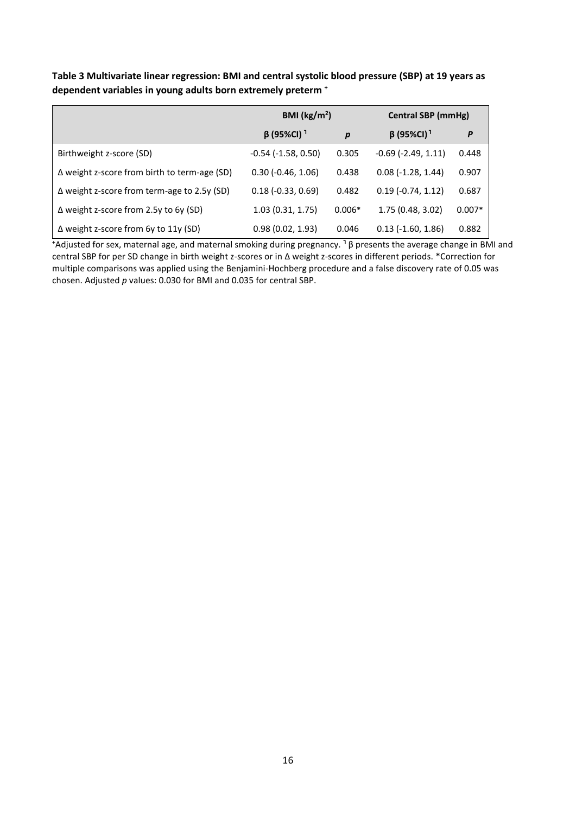**Table 3 Multivariate linear regression: BMI and central systolic blood pressure (SBP) at 19 years as dependent variables in young adults born extremely preterm <sup>+</sup>**

|                                                     | BMI ( $\text{kg/m}^2$ )   |                  | Central SBP (mmHg)           |          |
|-----------------------------------------------------|---------------------------|------------------|------------------------------|----------|
|                                                     | $\beta$ (95%CI) $^1$      | $\boldsymbol{p}$ | $\beta$ (95%CI) <sup>1</sup> | P        |
| Birthweight z-score (SD)                            | $-0.54$ ( $-1.58$ , 0.50) | 0.305            | $-0.69$ ( $-2.49$ , 1.11)    | 0.448    |
| $\Delta$ weight z-score from birth to term-age (SD) | $0.30$ ( $-0.46$ , 1.06)  | 0.438            | $0.08(-1.28, 1.44)$          | 0.907    |
| $\Delta$ weight z-score from term-age to 2.5y (SD)  | $0.18(-0.33, 0.69)$       | 0.482            | $0.19$ (-0.74, 1.12)         | 0.687    |
| ∆ weight z-score from 2.5y to 6y (SD)               | 1.03(0.31, 1.75)          | $0.006*$         | 1.75 (0.48, 3.02)            | $0.007*$ |
| $\Delta$ weight z-score from 6y to 11y (SD)         | 0.98(0.02, 1.93)          | 0.046            | $0.13$ ( $-1.60$ , $1.86$ )  | 0.882    |

**<sup>+</sup>**Adjusted for sex, maternal age, and maternal smoking during pregnancy. **<sup>Ꞁ</sup>** β presents the average change in BMI and central SBP for per SD change in birth weight z-scores or in ∆ weight z-scores in different periods. \*Correction for multiple comparisons was applied using the Benjamini-Hochberg procedure and a false discovery rate of 0.05 was chosen. Adjusted *p* values: 0.030 for BMI and 0.035 for central SBP.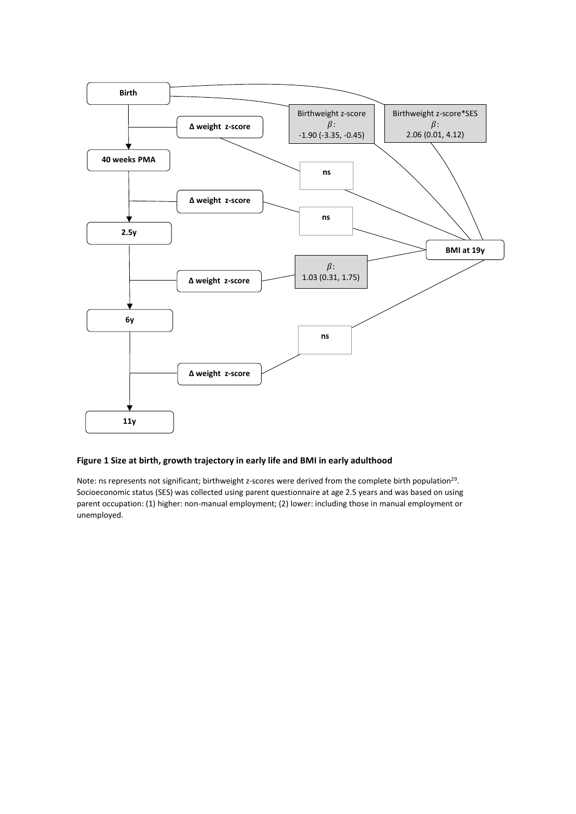

#### **Figure 1 Size at birth, growth trajectory in early life and BMI in early adulthood**

Note: ns represents not significant; birthweight z-scores were derived from the complete birth population<sup>29</sup>. Socioeconomic status (SES) was collected using parent questionnaire at age 2.5 years and was based on using parent occupation: (1) higher: non-manual employment; (2) lower: including those in manual employment or unemployed.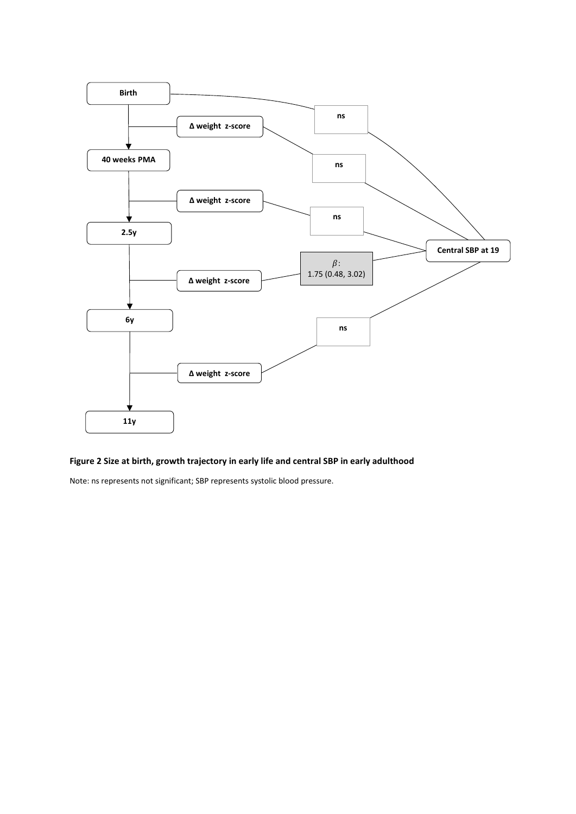

### **Figure 2 Size at birth, growth trajectory in early life and central SBP in early adulthood**

Note: ns represents not significant; SBP represents systolic blood pressure.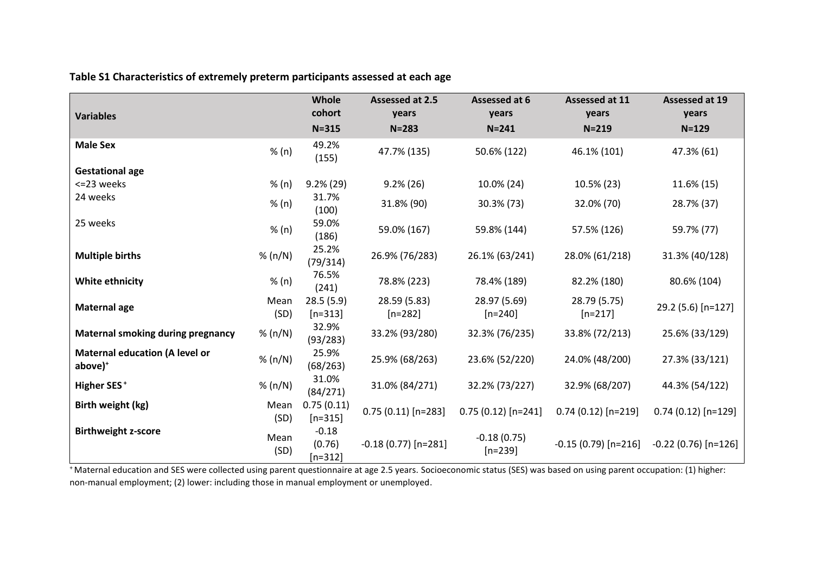| <b>Variables</b>                                    |              | Whole<br>cohort                | Assessed at 2.5<br>years  | Assessed at 6<br>years     | Assessed at 11<br>years   | Assessed at 19<br>years |
|-----------------------------------------------------|--------------|--------------------------------|---------------------------|----------------------------|---------------------------|-------------------------|
|                                                     |              | $N = 315$                      | $N = 283$                 | $N = 241$                  | $N = 219$                 | $N = 129$               |
| <b>Male Sex</b>                                     | % (n)        | 49.2%<br>(155)                 | 47.7% (135)               | 50.6% (122)                | 46.1% (101)               | 47.3% (61)              |
| <b>Gestational age</b>                              |              |                                |                           |                            |                           |                         |
| <= 23 weeks                                         | % (n)        | $9.2\% (29)$                   | $9.2\%$ (26)              | 10.0% (24)                 | 10.5% (23)                | 11.6% (15)              |
| 24 weeks                                            | % (n)        | 31.7%<br>(100)                 | 31.8% (90)                | 30.3% (73)                 | 32.0% (70)                | 28.7% (37)              |
| 25 weeks                                            | % (n)        | 59.0%<br>(186)                 | 59.0% (167)               | 59.8% (144)                | 57.5% (126)               | 59.7% (77)              |
| <b>Multiple births</b>                              | % (n/N)      | 25.2%<br>(79/314)              | 26.9% (76/283)            | 26.1% (63/241)             | 28.0% (61/218)            | 31.3% (40/128)          |
| <b>White ethnicity</b>                              | % (n)        | 76.5%<br>(241)                 | 78.8% (223)               | 78.4% (189)                | 82.2% (180)               | 80.6% (104)             |
| <b>Maternal age</b>                                 | Mean<br>(SD) | 28.5(5.9)<br>$[n=313]$         | 28.59 (5.83)<br>$[n=282]$ | 28.97 (5.69)<br>$[n=240]$  | 28.79 (5.75)<br>$[n=217]$ | 29.2 (5.6) [n=127]      |
| <b>Maternal smoking during pregnancy</b>            | % (n/N)      | 32.9%<br>(93/283)              | 33.2% (93/280)            | 32.3% (76/235)             | 33.8% (72/213)            | 25.6% (33/129)          |
| <b>Maternal education (A level or</b><br>$above)^+$ | % (n/N)      | 25.9%<br>(68/263)              | 25.9% (68/263)            | 23.6% (52/220)             | 24.0% (48/200)            | 27.3% (33/121)          |
| <b>Higher SES<sup>+</sup></b>                       | % (n/N)      | 31.0%<br>(84/271)              | 31.0% (84/271)            | 32.2% (73/227)             | 32.9% (68/207)            | 44.3% (54/122)          |
| Birth weight (kg)                                   | Mean<br>(SD) | 0.75(0.11)<br>$[n=315]$        | $0.75(0.11)[n=283]$       | $0.75(0.12)[n=241]$        | $0.74(0.12)[n=219]$       | $0.74(0.12)[n=129]$     |
| <b>Birthweight z-score</b>                          | Mean<br>(SD) | $-0.18$<br>(0.76)<br>$[n=312]$ | $-0.18(0.77)$ [n=281]     | $-0.18(0.75)$<br>$[n=239]$ | $-0.15(0.79)[n=216]$      | $-0.22$ (0.76) [n=126]  |

**Table S1 Characteristics of extremely preterm participants assessed at each age**

<sup>+</sup> Maternal education and SES were collected using parent questionnaire at age 2.5 years. Socioeconomic status (SES) was based on using parent occupation: (1) higher: non-manual employment; (2) lower: including those in manual employment or unemployed.